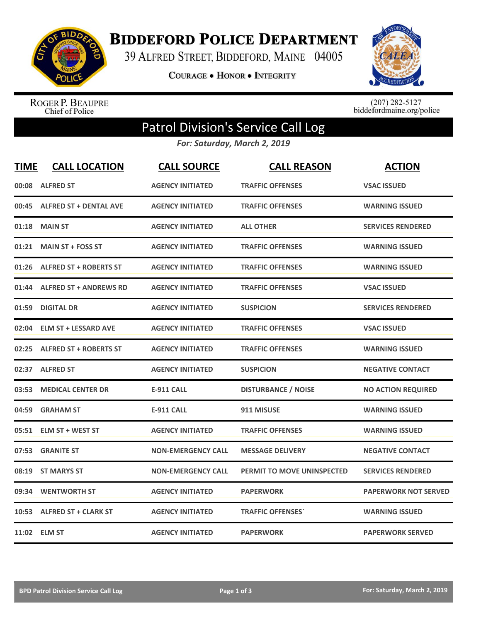

**BIDDEFORD POLICE DEPARTMENT** 

39 ALFRED STREET, BIDDEFORD, MAINE 04005

**COURAGE . HONOR . INTEGRITY** 



ROGER P. BEAUPRE<br>Chief of Police

 $(207)$  282-5127<br>biddefordmaine.org/police

## Patrol Division's Service Call Log

*For: Saturday, March 2, 2019*

| <b>TIME</b> | <b>CALL LOCATION</b>          | <b>CALL SOURCE</b>        | <b>CALL REASON</b>                | <b>ACTION</b>               |
|-------------|-------------------------------|---------------------------|-----------------------------------|-----------------------------|
| 00:08       | <b>ALFRED ST</b>              | <b>AGENCY INITIATED</b>   | <b>TRAFFIC OFFENSES</b>           | <b>VSAC ISSUED</b>          |
| 00:45       | <b>ALFRED ST + DENTAL AVE</b> | <b>AGENCY INITIATED</b>   | <b>TRAFFIC OFFENSES</b>           | <b>WARNING ISSUED</b>       |
| 01:18       | <b>MAIN ST</b>                | <b>AGENCY INITIATED</b>   | <b>ALL OTHER</b>                  | <b>SERVICES RENDERED</b>    |
| 01:21       | <b>MAIN ST + FOSS ST</b>      | <b>AGENCY INITIATED</b>   | <b>TRAFFIC OFFENSES</b>           | <b>WARNING ISSUED</b>       |
| 01:26       | <b>ALFRED ST + ROBERTS ST</b> | <b>AGENCY INITIATED</b>   | <b>TRAFFIC OFFENSES</b>           | <b>WARNING ISSUED</b>       |
| 01:44       | <b>ALFRED ST + ANDREWS RD</b> | <b>AGENCY INITIATED</b>   | <b>TRAFFIC OFFENSES</b>           | <b>VSAC ISSUED</b>          |
| 01:59       | <b>DIGITAL DR</b>             | <b>AGENCY INITIATED</b>   | <b>SUSPICION</b>                  | <b>SERVICES RENDERED</b>    |
| 02:04       | <b>ELM ST + LESSARD AVE</b>   | <b>AGENCY INITIATED</b>   | <b>TRAFFIC OFFENSES</b>           | <b>VSAC ISSUED</b>          |
| 02:25       | <b>ALFRED ST + ROBERTS ST</b> | <b>AGENCY INITIATED</b>   | <b>TRAFFIC OFFENSES</b>           | <b>WARNING ISSUED</b>       |
| 02:37       | <b>ALFRED ST</b>              | <b>AGENCY INITIATED</b>   | <b>SUSPICION</b>                  | <b>NEGATIVE CONTACT</b>     |
| 03:53       | <b>MEDICAL CENTER DR</b>      | <b>E-911 CALL</b>         | <b>DISTURBANCE / NOISE</b>        | <b>NO ACTION REQUIRED</b>   |
| 04:59       | <b>GRAHAM ST</b>              | <b>E-911 CALL</b>         | 911 MISUSE                        | <b>WARNING ISSUED</b>       |
| 05:51       | <b>ELM ST + WEST ST</b>       | <b>AGENCY INITIATED</b>   | <b>TRAFFIC OFFENSES</b>           | <b>WARNING ISSUED</b>       |
| 07:53       | <b>GRANITE ST</b>             | <b>NON-EMERGENCY CALL</b> | <b>MESSAGE DELIVERY</b>           | <b>NEGATIVE CONTACT</b>     |
| 08:19       | <b>ST MARYS ST</b>            | <b>NON-EMERGENCY CALL</b> | <b>PERMIT TO MOVE UNINSPECTED</b> | <b>SERVICES RENDERED</b>    |
| 09:34       | <b>WENTWORTH ST</b>           | <b>AGENCY INITIATED</b>   | <b>PAPERWORK</b>                  | <b>PAPERWORK NOT SERVED</b> |
|             | 10:53 ALFRED ST + CLARK ST    | <b>AGENCY INITIATED</b>   | <b>TRAFFIC OFFENSES</b>           | <b>WARNING ISSUED</b>       |
|             | 11:02 ELM ST                  | <b>AGENCY INITIATED</b>   | <b>PAPERWORK</b>                  | <b>PAPERWORK SERVED</b>     |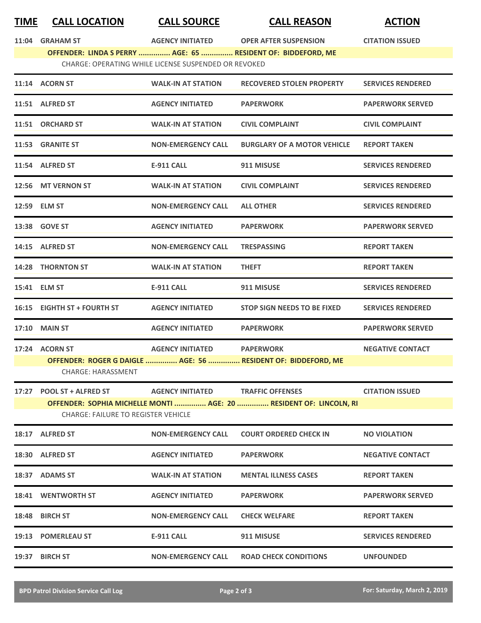| <b>TIME</b> | <b>CALL LOCATION</b>                                 | <b>CALL SOURCE</b>        | <b>CALL REASON</b>                                           | <b>ACTION</b>            |  |
|-------------|------------------------------------------------------|---------------------------|--------------------------------------------------------------|--------------------------|--|
| 11:04       | <b>GRAHAM ST</b>                                     | <b>AGENCY INITIATED</b>   | <b>OPER AFTER SUSPENSION</b>                                 | <b>CITATION ISSUED</b>   |  |
|             |                                                      |                           | OFFENDER: LINDA S PERRY  AGE: 65  RESIDENT OF: BIDDEFORD, ME |                          |  |
|             | CHARGE: OPERATING WHILE LICENSE SUSPENDED OR REVOKED |                           |                                                              |                          |  |
|             | 11:14 ACORN ST                                       | <b>WALK-IN AT STATION</b> | <b>RECOVERED STOLEN PROPERTY</b>                             | <b>SERVICES RENDERED</b> |  |
|             | 11:51 ALFRED ST                                      | <b>AGENCY INITIATED</b>   | <b>PAPERWORK</b>                                             | <b>PAPERWORK SERVED</b>  |  |
|             | 11:51 ORCHARD ST                                     | <b>WALK-IN AT STATION</b> | <b>CIVIL COMPLAINT</b>                                       | <b>CIVIL COMPLAINT</b>   |  |
|             | 11:53 GRANITE ST                                     | <b>NON-EMERGENCY CALL</b> | <b>BURGLARY OF A MOTOR VEHICLE</b>                           | <b>REPORT TAKEN</b>      |  |
|             | 11:54 ALFRED ST                                      | <b>E-911 CALL</b>         | 911 MISUSE                                                   | <b>SERVICES RENDERED</b> |  |
|             | 12:56 MT VERNON ST                                   | <b>WALK-IN AT STATION</b> | <b>CIVIL COMPLAINT</b>                                       | <b>SERVICES RENDERED</b> |  |
|             | 12:59 ELM ST                                         | <b>NON-EMERGENCY CALL</b> | <b>ALL OTHER</b>                                             | <b>SERVICES RENDERED</b> |  |
|             | 13:38 GOVE ST                                        | <b>AGENCY INITIATED</b>   | <b>PAPERWORK</b>                                             | <b>PAPERWORK SERVED</b>  |  |
|             | 14:15 ALFRED ST                                      | <b>NON-EMERGENCY CALL</b> | <b>TRESPASSING</b>                                           | <b>REPORT TAKEN</b>      |  |
| 14:28       | <b>THORNTON ST</b>                                   | <b>WALK-IN AT STATION</b> | <b>THEFT</b>                                                 | <b>REPORT TAKEN</b>      |  |

| 17:24 ACORN ST            | <b>AGENCY INITIATED</b> | <b>PAPERWORK</b>                                                   | <b>NEGATIVE CONTACT</b> |
|---------------------------|-------------------------|--------------------------------------------------------------------|-------------------------|
|                           |                         | OFFENDER: ROGER G DAIGLE  AGE: 56  RESIDENT OF: BIDDEFORD, ME      |                         |
| <b>CHARGE: HARASSMENT</b> |                         |                                                                    |                         |
|                           |                         |                                                                    |                         |
| 17:27 POOL ST + ALFRED ST | <b>AGENCY INITIATED</b> | <b>TRAFFIC OFFENSES</b>                                            | <b>CITATION ISSUED</b>  |
|                           |                         | OFFENDER: SOPHIA MICHELLE MONTI  AGE: 20  RESIDENT OF: LINCOLN, RI |                         |

**15:41 ELM ST E-911 CALL 911 MISUSE SERVICES RENDERED**

**16:15 EIGHTH ST + FOURTH ST AGENCY INITIATED STOP SIGN NEEDS TO BE FIXED SERVICES RENDERED**

**17:10 MAIN ST AGENCY INITIATED PAPERWORK PAPERWORK SERVED**

| 18:17 | <b>ALFRED ST</b>    | <b>NON-EMERGENCY CALL</b> | <b>COURT ORDERED CHECK IN</b> | <b>NO VIOLATION</b>      |
|-------|---------------------|---------------------------|-------------------------------|--------------------------|
| 18:30 | <b>ALFRED ST</b>    | <b>AGENCY INITIATED</b>   | <b>PAPERWORK</b>              | <b>NEGATIVE CONTACT</b>  |
| 18:37 | <b>ADAMS ST</b>     | <b>WALK-IN AT STATION</b> | <b>MENTAL ILLNESS CASES</b>   | <b>REPORT TAKEN</b>      |
| 18:41 | <b>WENTWORTH ST</b> | <b>AGENCY INITIATED</b>   | <b>PAPERWORK</b>              | <b>PAPERWORK SERVED</b>  |
| 18:48 | <b>BIRCH ST</b>     | <b>NON-EMERGENCY CALL</b> | <b>CHECK WELFARE</b>          | <b>REPORT TAKEN</b>      |
| 19:13 | <b>POMERLEAU ST</b> | <b>E-911 CALL</b>         | 911 MISUSE                    | <b>SERVICES RENDERED</b> |
| 19:37 | <b>BIRCH ST</b>     | <b>NON-EMERGENCY CALL</b> | <b>ROAD CHECK CONDITIONS</b>  | <b>UNFOUNDED</b>         |

 $\overline{\phantom{0}}$